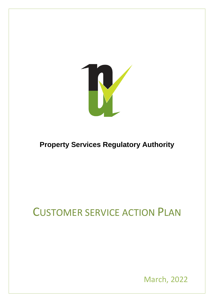

## **Property Services Regulatory Authority**

# CUSTOMER SERVICE ACTION PLAN

March, 2022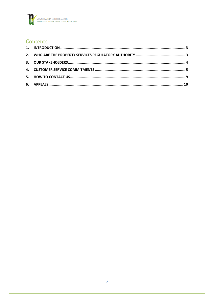

## Contents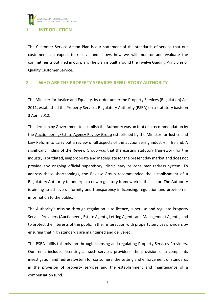#### <span id="page-2-0"></span>**1. INTRODUCTION**

The Customer Service Action Plan is our statement of the standards of service that our customers can expect to receive and shows how we will monitor and evaluate the commitments outlined in our plan. The plan is built around the Twelve Guiding Principles of Quality Customer Service.

#### <span id="page-2-1"></span>**2. WHO ARE THE PROPERTY SERVICES REGULATORY AUTHORITY**

The Minister for Justice and Equality, by order under the Property Services (Regulation) Act 2011, established the Property Services Regulatory Authority (PSRA) on a statutory basis on 3 April 2012.

The decision by Government to establish the Authority was on foot of a recommendation by the [Auctioneering/Estate Agency Review Group](http://www.psr.ie/website/npsra/npsraweb.nsf/page/CAEA839D63A5CF798025762C0058072D/$file/Auctioneering%20Review%20Group.pdf) established by the Minister for Justice and Law Reform to carry out a review of all aspects of the auctioneering industry in Ireland. A significant finding of the Review Group was that the existing statutory framework for the industry is outdated, inappropriate and inadequate for the present day market and does not provide any ongoing official supervisory, disciplinary or consumer redress system. To address these shortcomings, the Review Group recommended the establishment of a Regulatory Authority to underpin a new regulatory framework in the sector. The Authority is aiming to achieve uniformity and transparency in licensing, regulation and provision of information to the public.

The Authority's mission through regulation is to licence, supervise and regulate Property Service Providers (Auctioneers, Estate Agents, Letting Agents and Management Agents) and to protect the interests of the public in their interaction with property services providers by ensuring that high standards are maintained and delivered.

The PSRA fulfils this mission through licensing and regulating Property Services Providers. Our remit includes, licensing all such services providers; the provision of a complaints investigation and redress system for consumers; the setting and enforcement of standards in the provision of property services and the establishment and maintenance of a compensation fund.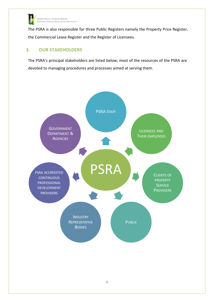

The PSRA is also responsible for three Public Registers namely the Property Price Register, the Commercial Lease Register and the Register of Licensees.

#### <span id="page-3-0"></span>**3. OUR STAKEHOLDERS**

The PSRA's principal stakeholders are listed below; most of the resources of the PSRA are devoted to managing procedures and processes aimed at serving them.

<span id="page-3-1"></span>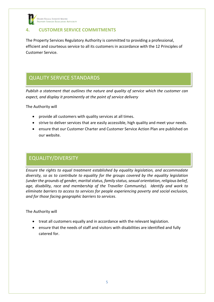

#### **4. CUSTOMER SERVICE COMMITMENTS**

The Property Services Regulatory Authority is committed to providing a professional, efficient and courteous service to all its customers in accordance with the 12 Principles of Customer Service.

## QUALITY SERVICE STANDARDS

*Publish a statement that outlines the nature and quality of service which the customer can expect, and display it prominently at the point of service delivery*

The Authority will

- provide all customers with quality services at all times.
- strive to deliver services that are easily accessible, high quality and meet your needs.
- ensure that our Customer Charter and Customer Service Action Plan are published on our website.

## EQUALITY/DIVERSITY

*Ensure the rights to equal treatment established by equality legislation, and accommodate diversity, so as to contribute to equality for the groups covered by the equality legislation (under the grounds of gender, marital status, family status, sexual orientation, religious belief, age, disability, race and membership of the Traveller Community). Identify and work to eliminate barriers to access to services for people experiencing poverty and social exclusion, and for those facing geographic barriers to services.*

- treat all customers equally and in accordance with the relevant legislation.
- ensure that the needs of staff and visitors with disabilities are identified and fully catered for.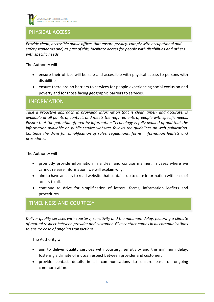## PHYSICAL ACCESS

*Provide clean, accessible public offices that ensure privacy, comply with occupational and safety standards and, as part of this, facilitate access for people with disabilities and others with specific needs.*

The Authority will

- ensure their offices will be safe and accessible with physical access to persons with disabilities.
- ensure there are no barriers to services for people experiencing social exclusion and poverty and for those facing geographic barriers to services.

#### INFORMATION

*Take a proactive approach in providing information that is clear, timely and accurate, is available at all points of contact, and meets the requirements of people with specific needs. Ensure that the potential offered by Information Technology is fully availed of and that the information available on public service websites follows the guidelines on web publication. Continue the drive for simplification of rules, regulations, forms, information leaflets and procedures.*

The Authority will

- promptly provide information in a clear and concise manner. In cases where we cannot release information, we will explain why.
- aim to have an easy to read website that contains up to date information with ease of access to all.
- continue to drive for simplification of letters, forms, information leaflets and procedures.

#### TIMELINESS AND COURTESY

*Deliver quality services with courtesy, sensitivity and the minimum delay, fostering a climate of mutual respect between provider and customer. Give contact names in all communications to ensure ease of ongoing transactions.*

- aim to deliver quality services with courtesy, sensitivity and the minimum delay, fostering a climate of mutual respect between provider and customer.
- provide contact details in all communications to ensure ease of ongoing communication.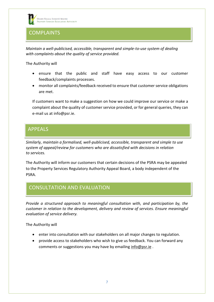

## **COMPLAINTS**

*Maintain a well-publicised, accessible, transparent and simple-to-use system of dealing with complaints about the quality of service provided.*

The Authority will

- ensure that the public and staff have easy access to our customer feedback/complaints processes.
- monitor all complaints/feedback received to ensure that customer service obligations are met.

If customers want to make a suggestion on how we could improve our service or make a complaint about the quality of customer service provided, or for general queries, they can e-mail us at info@psr.ie.

#### APPEALS

*Similarly, maintain a formalised, well-publicised, accessible, transparent and simple to use system of appeal/review for customers who are dissatisfied with decisions in relation to services.*

The Authority will inform our customers that certain decisions of the PSRA may be appealed to the Property Services Regulatory Authority Appeal Board, a body independent of the PSRA.

## CONSULTATION AND EVALUATION

*Provide a structured approach to meaningful consultation with, and participation by, the customer in relation to the development, delivery and review of services. Ensure meaningful evaluation of service delivery.*

- enter into consultation with our stakeholders on all major changes to regulation.
- provide access to stakeholders who wish to give us feedback. You can forward any comments or suggestions you may have by emailing [info@psr.ie](mailto:info@psr.ie).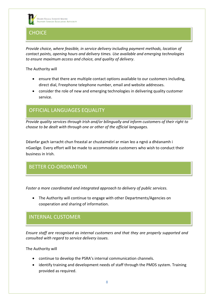

## **CHOICE**

*Provide choice, where feasible, in service delivery including payment methods, location of contact points, opening hours and delivery times. Use available and emerging technologies to ensure maximum access and choice, and quality of delivery*.

The Authority will

- ensure that there are multiple contact options available to our customers including, direct dial, Freephone telephone number, email and website addresses.
- consider the role of new and emerging technologies in delivering quality customer service.

## OFFICIAL LANGUAGES EQUALITY

*Provide quality services through Irish and/or bilingually and inform customers of their right to choose to be dealt with through one or other of the official languages.*

Déanfar gach iarracht chun freastal ar chustaiméirí ar mian leo a ngnó a dhéanamh i nGaeilge. Every effort will be made to accommodate customers who wish to conduct their business in Irish.

## BETTER CO-ORDINATION

*Foster a more coordinated and integrated approach to delivery of public services.*

 The Authority will continue to engage with other Departments/Agencies on cooperation and sharing of information.

#### INTERNAL CUSTOMER

*Ensure staff are recognised as internal customers and that they are properly supported and consulted with regard to service delivery issues.*

- continue to develop the PSRA's internal communication channels.
- identify training and development needs of staff through the PMDS system. Training provided as required.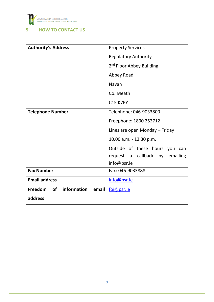

#### <span id="page-8-0"></span>**5. HOW TO CONTACT US**

<span id="page-8-1"></span>

| <b>Authority's Address</b>         | <b>Property Services</b>             |
|------------------------------------|--------------------------------------|
|                                    | <b>Regulatory Authority</b>          |
|                                    | 2 <sup>nd</sup> Floor Abbey Building |
|                                    | Abbey Road                           |
|                                    | Navan                                |
|                                    | Co. Meath                            |
|                                    | <b>C15 K7PY</b>                      |
| <b>Telephone Number</b>            | Telephone: 046-9033800               |
|                                    | Freephone: 1800 252712               |
|                                    | Lines are open Monday - Friday       |
|                                    | 10.00 a.m. - 12.30 p.m.              |
|                                    | Outside of these hours you can       |
|                                    | request a callback by<br>emailing    |
|                                    | info@psr.ie                          |
| <b>Fax Number</b>                  | Fax: 046-9033888                     |
| <b>Email address</b>               | info@psr.ie                          |
| information<br>Freedom of<br>email | foi@psr.ie                           |
| address                            |                                      |